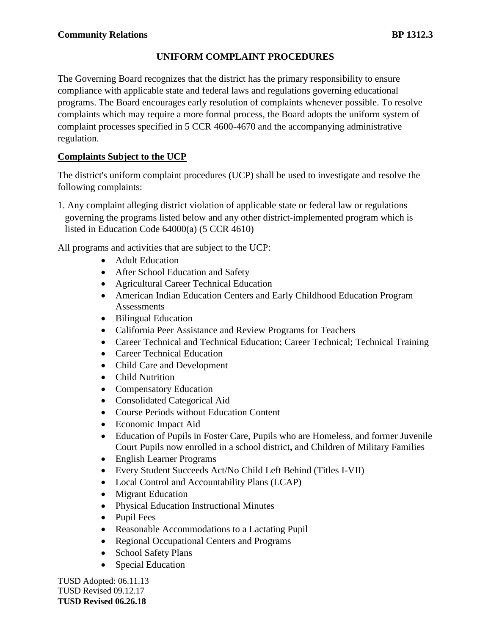The Governing Board recognizes that the district has the primary responsibility to ensure compliance with applicable state and federal laws and regulations governing educational programs. The Board encourages early resolution of complaints whenever possible. To resolve complaints which may require a more formal process, the Board adopts the uniform system of complaint processes specified in 5 CCR [4600](http://gamutonline.net/displayPolicy/187020/1)[-4670](http://gamutonline.net/displayPolicy/187039/1) and the accompanying administrative regulation.

### **Complaints Subject to the UCP**

The district's uniform complaint procedures (UCP) shall be used to investigate and resolve the following complaints:

1. Any complaint alleging district violation of applicable state or federal law or regulations governing the programs listed below and any other district-implemented program which is listed in Education Code [64000\(](http://gamutonline.net/displayPolicy/133932/1)a) (5 CCR [4610\)](http://gamutonline.net/displayPolicy/187021/1)

All programs and activities that are subject to the UCP:

- Adult Education
- After School Education and Safety
- Agricultural Career Technical Education
- American Indian Education Centers and Early Childhood Education Program **Assessments**
- Bilingual Education
- California Peer Assistance and Review Programs for Teachers
- Career Technical and Technical Education; Career Technical; Technical Training
- Career Technical Education
- Child Care and Development
- Child Nutrition
- Compensatory Education
- Consolidated Categorical Aid
- Course Periods without Education Content
- Economic Impact Aid
- Education of Pupils in Foster Care, Pupils who are Homeless, and former Juvenile Court Pupils now enrolled in a school district**,** and Children of Military Families
- English Learner Programs
- Every Student Succeeds Act/No Child Left Behind (Titles I-VII)
- Local Control and Accountability Plans (LCAP)
- Migrant Education
- Physical Education Instructional Minutes
- Pupil Fees
- Reasonable Accommodations to a Lactating Pupil
- Regional Occupational Centers and Programs
- School Safety Plans
- Special Education

TUSD Adopted: 06.11.13 TUSD Revised 09.12.17 **TUSD Revised 06.26.18**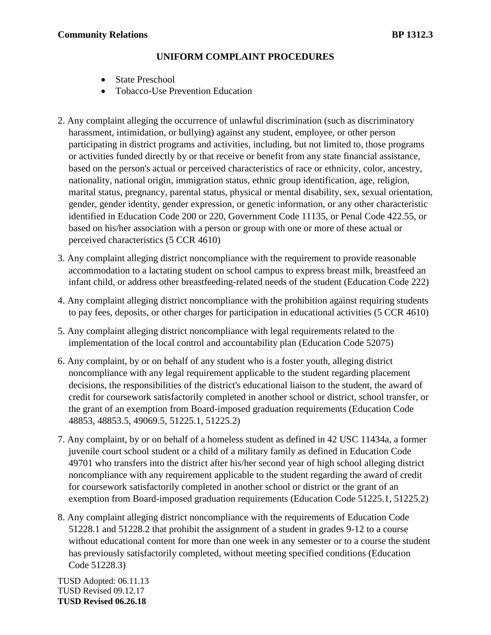- State Preschool
- Tobacco-Use Prevention Education
- 2. Any complaint alleging the occurrence of unlawful discrimination (such as discriminatory harassment, intimidation, or bullying) against any student, employee, or other person participating in district programs and activities, including, but not limited to, those programs or activities funded directly by or that receive or benefit from any state financial assistance, based on the person's actual or perceived characteristics of race or ethnicity, color, ancestry, nationality, national origin, immigration status, ethnic group identification, age, religion, marital status, pregnancy, parental status, physical or mental disability, sex, sexual orientation, gender, gender identity, gender expression, or genetic information, or any other characteristic identified in Education Code [200](http://gamutonline.net/displayPolicy/138754/1) or [220,](http://gamutonline.net/displayPolicy/138763/1) Government Code [11135,](http://gamutonline.net/displayPolicy/144547/1) or Penal Code [422.55,](http://gamutonline.net/displayPolicy/352313/1) or based on his/her association with a person or group with one or more of these actual or perceived characteristics (5 CCR [4610\)](http://gamutonline.net/displayPolicy/187021/1)
- 3. Any complaint alleging district noncompliance with the requirement to provide reasonable accommodation to a lactating student on school campus to express breast milk, breastfeed an infant child, or address other breastfeeding-related needs of the student (Education Code [222\)](http://gamutonline.net/displayPolicy/1040625/1)
- 4. Any complaint alleging district noncompliance with the prohibition against requiring students to pay fees, deposits, or other charges for participation in educational activities (5 CCR [4610\)](http://gamutonline.net/displayPolicy/187021/1)
- 5. Any complaint alleging district noncompliance with legal requirements related to the implementation of the local control and accountability plan (Education Code [52075\)](http://gamutonline.net/displayPolicy/899535/1)
- 6. Any complaint, by or on behalf of any student who is a foster youth, alleging district noncompliance with any legal requirement applicable to the student regarding placement decisions, the responsibilities of the district's educational liaison to the student, the award of credit for coursework satisfactorily completed in another school or district, school transfer, or the grant of an exemption from Board-imposed graduation requirements (Education Code [48853,](http://gamutonline.net/displayPolicy/315648/1) [48853.5,](http://gamutonline.net/displayPolicy/315649/1) [49069.5,](http://gamutonline.net/displayPolicy/137891/1) [51225.1,](http://gamutonline.net/displayPolicy/1007257/1) [51225.2\)](http://gamutonline.net/displayPolicy/1007258/1)
- 7. Any complaint, by or on behalf of a homeless student as defined in 42 USC [11434a,](http://gamutonline.net/displayPolicy/191748/1) a former juvenile court school student or a child of a military family as defined in Education Code 49701 who transfers into the district after his/her second year of high school alleging district noncompliance with any requirement applicable to the student regarding the award of credit for coursework satisfactorily completed in another school or district or the grant of an exemption from Board-imposed graduation requirements (Education Code [51225.1,](http://gamutonline.net/displayPolicy/1007257/1) [51225.2\)](http://gamutonline.net/displayPolicy/1007258/1)
- 8. Any complaint alleging district noncompliance with the requirements of Education Code [51228.1](http://gamutonline.net/displayPolicy/1040627/1) and [51228.2](http://gamutonline.net/displayPolicy/1040628/1) that prohibit the assignment of a student in grades 9-12 to a course without educational content for more than one week in any semester or to a course the student has previously satisfactorily completed, without meeting specified conditions (Education Code [51228.3\)](http://gamutonline.net/displayPolicy/1040629/1)

TUSD Adopted: 06.11.13 TUSD Revised 09.12.17 **TUSD Revised 06.26.18**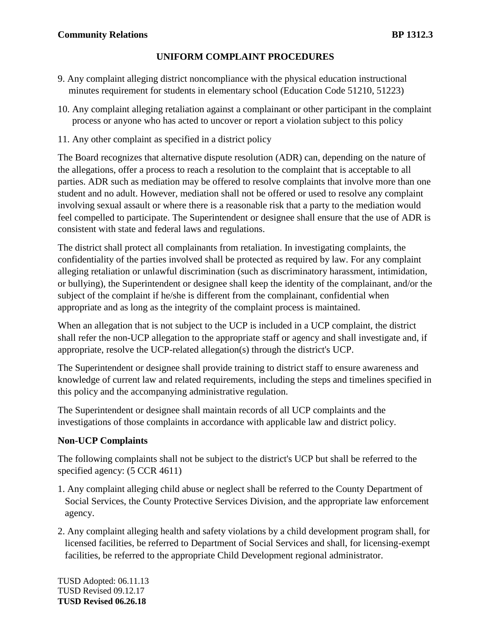- 9. Any complaint alleging district noncompliance with the physical education instructional minutes requirement for students in elementary school (Education Code [51210,](http://gamutonline.net/displayPolicy/132664/1) [51223\)](http://gamutonline.net/displayPolicy/132672/1)
- 10. Any complaint alleging retaliation against a complainant or other participant in the complaint process or anyone who has acted to uncover or report a violation subject to this policy
- 11. Any other complaint as specified in a district policy

The Board recognizes that alternative dispute resolution (ADR) can, depending on the nature of the allegations, offer a process to reach a resolution to the complaint that is acceptable to all parties. ADR such as mediation may be offered to resolve complaints that involve more than one student and no adult. However, mediation shall not be offered or used to resolve any complaint involving sexual assault or where there is a reasonable risk that a party to the mediation would feel compelled to participate. The Superintendent or designee shall ensure that the use of ADR is consistent with state and federal laws and regulations.

The district shall protect all complainants from retaliation. In investigating complaints, the confidentiality of the parties involved shall be protected as required by law. For any complaint alleging retaliation or unlawful discrimination (such as discriminatory harassment, intimidation, or bullying), the Superintendent or designee shall keep the identity of the complainant, and/or the subject of the complaint if he/she is different from the complainant, confidential when appropriate and as long as the integrity of the complaint process is maintained.

When an allegation that is not subject to the UCP is included in a UCP complaint, the district shall refer the non-UCP allegation to the appropriate staff or agency and shall investigate and, if appropriate, resolve the UCP-related allegation(s) through the district's UCP.

The Superintendent or designee shall provide training to district staff to ensure awareness and knowledge of current law and related requirements, including the steps and timelines specified in this policy and the accompanying administrative regulation.

The Superintendent or designee shall maintain records of all UCP complaints and the investigations of those complaints in accordance with applicable law and district policy.

# **Non-UCP Complaints**

The following complaints shall not be subject to the district's UCP but shall be referred to the specified agency:  $(5$  CCR [4611\)](http://gamutonline.net/displayPolicy/264258/1)

- 1. Any complaint alleging child abuse or neglect shall be referred to the County Department of Social Services, the County Protective Services Division, and the appropriate law enforcement agency.
- 2. Any complaint alleging health and safety violations by a child development program shall, for licensed facilities, be referred to Department of Social Services and shall, for licensing-exempt facilities, be referred to the appropriate Child Development regional administrator.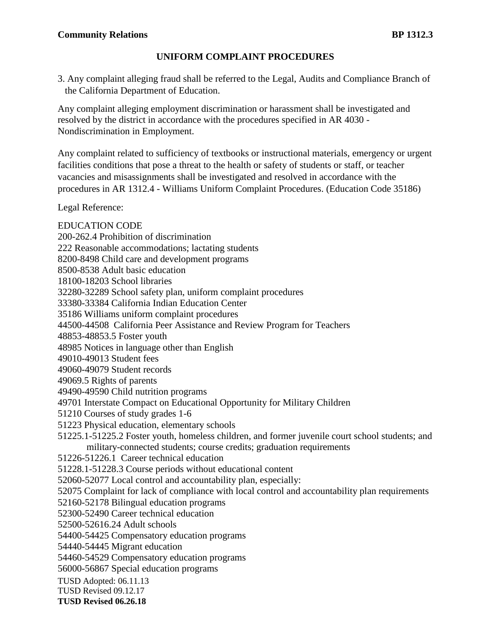3. Any complaint alleging fraud shall be referred to the Legal, Audits and Compliance Branch of the California Department of Education.

Any complaint alleging employment discrimination or harassment shall be investigated and resolved by the district in accordance with the procedures specified in AR 4030 - Nondiscrimination in Employment.

Any complaint related to sufficiency of textbooks or instructional materials, emergency or urgent facilities conditions that pose a threat to the health or safety of students or staff, or teacher vacancies and misassignments shall be investigated and resolved in accordance with the procedures in AR 1312.4 - Williams Uniform Complaint Procedures. (Education Code [35186\)](http://gamutonline.net/displayPolicy/352127/1)

Legal Reference:

TUSD Adopted: 06.11.13 TUSD Revised 09.12.17 EDUCATION CODE [-262.4](http://gamutonline.net/displayPolicy/138778/1) Prohibition of discrimination Reasonable accommodations; lactating students [-8498](http://gamutonline.net/displayPolicy/129482/1) Child care and development programs [-8538](http://gamutonline.net/displayPolicy/129493/1) Adult basic education [-18203](http://gamutonline.net/displayPolicy/204126/1) School libraries *-*32289 School safety plan, uniform complaint procedures 33380-33384 California Indian Education Center Williams uniform complaint procedures 44500-44508 California Peer Assistance and Review Program for Teachers [-48853.5](http://gamutonline.net/displayPolicy/315649/1) Foster youth Notices in language other than English [-49013](http://gamutonline.net/displayPolicy/781186/1) Student fees [-49079](http://gamutonline.net/displayPolicy/226085/1) Student records [49069.5](http://gamutonline.net/displayPolicy/137891/1) Rights of parents [-49590](http://gamutonline.net/displayPolicy/137374/1) Child nutrition programs 49701 Interstate Compact on Educational Opportunity for Military Children Courses of study grades 1-6 Physical education, elementary schools [51225.1](http://gamutonline.net/displayPolicy/1007257/1)[-51225.2](http://gamutonline.net/displayPolicy/1007258/1) Foster youth, homeless children, and former juvenile court school students; and military-connected students; course credits; graduation requirements 51226-51226.1 Career technical education [51228.1](http://gamutonline.net/displayPolicy/1040627/1)[-51228.3](http://gamutonline.net/displayPolicy/1040629/1) Course periods without educational content [-52077](http://gamutonline.net/displayPolicy/899537/1) Local control and accountability plan, especially: Complaint for lack of compliance with local control and accountability plan requirements [-52178](http://gamutonline.net/displayPolicy/132883/1) Bilingual education programs [-52490](http://gamutonline.net/displayPolicy/136127/1) Career technical education [-52616.24](http://gamutonline.net/displayPolicy/133065/1) Adult schools [-54425](http://gamutonline.net/displayPolicy/133253/1) Compensatory education programs [-54445](http://gamutonline.net/displayPolicy/133265/1) Migrant education [-54529](http://gamutonline.net/displayPolicy/133285/1) Compensatory education programs [-56867](http://gamutonline.net/displayPolicy/249264/1) Special education programs

**TUSD Revised 06.26.18**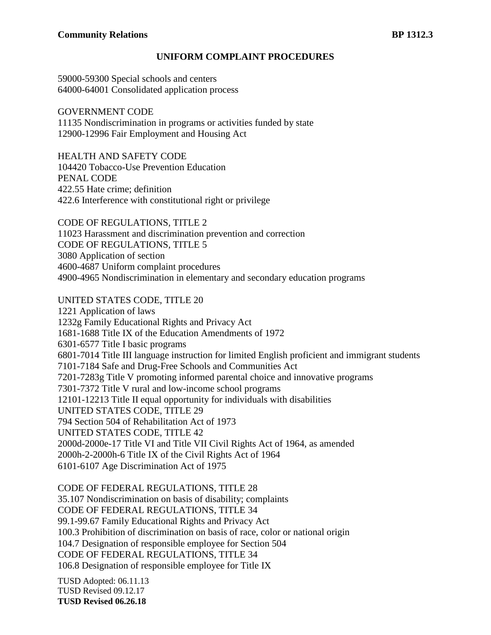[59000](http://gamutonline.net/displayPolicy/133770/1)[-59300](http://gamutonline.net/displayPolicy/133831/1) Special schools and centers [64000](http://gamutonline.net/displayPolicy/133932/1)[-64001](http://gamutonline.net/displayPolicy/133933/1) Consolidated application process

#### GOVERNMENT CODE

[11135](http://gamutonline.net/displayPolicy/144547/1) Nondiscrimination in programs or activities funded by state [12900](http://gamutonline.net/displayPolicy/144644/1)[-12996](http://gamutonline.net/displayPolicy/144699/1) Fair Employment and Housing Act

HEALTH AND SAFETY CODE 104420 Tobacco-Use Prevention Education PENAL CODE [422.55](http://gamutonline.net/displayPolicy/352313/1) Hate crime; definition [422.6](http://gamutonline.net/displayPolicy/169695/1) Interference with constitutional right or privilege

CODE OF REGULATIONS, TITLE 2 Harassment and discrimination prevention and correction CODE OF REGULATIONS, TITLE 5 Application of section [-4687](http://gamutonline.net/displayPolicy/390302/1) Uniform complaint procedures [-4965](http://gamutonline.net/displayPolicy/244922/1) Nondiscrimination in elementary and secondary education programs

UNITED STATES CODE, TITLE 20 [1221](http://gamutonline.net/displayPolicy/189929/1) Application of laws [1232g](http://gamutonline.net/displayPolicy/189959/1) Family Educational Rights and Privacy Act [1681](http://gamutonline.net/displayPolicy/189980/1)[-1688](http://gamutonline.net/displayPolicy/189987/1) Title IX of the Education Amendments of 1972 [6301](http://gamutonline.net/displayPolicy/302900/1)[-6577](http://gamutonline.net/displayPolicy/302977/1) Title I basic programs [6801](http://gamutonline.net/displayPolicy/190232/1)[-7014](http://gamutonline.net/displayPolicy/421258/1) Title III language instruction for limited English proficient and immigrant students [7101](http://gamutonline.net/displayPolicy/302769/1)[-7184](http://gamutonline.net/displayPolicy/302797/1) Safe and Drug-Free Schools and Communities Act [7201](http://gamutonline.net/displayPolicy/303027/1)[-7283g](http://gamutonline.net/displayPolicy/303160/1) Title V promoting informed parental choice and innovative programs [7301](http://gamutonline.net/displayPolicy/302835/1)[-7372](http://gamutonline.net/displayPolicy/302872/1) Title V rural and low-income school programs 12101-12213 Title II equal opportunity for individuals with disabilities UNITED STATES CODE, TITLE 29 [794](http://gamutonline.net/displayPolicy/191053/1) Section 504 of Rehabilitation Act of 1973 UNITED STATES CODE, TITLE 42 [2000d](http://gamutonline.net/displayPolicy/191934/1)[-2000e-](http://gamutonline.net/displayPolicy/191943/1)17 Title VI and Title VII Civil Rights Act of 1964, as amended [2000h-](http://gamutonline.net/displayPolicy/191961/1)2-2000h-6 Title IX of the Civil Rights Act of 1964 6101-6107 Age Discrimination Act of 1975

CODE OF FEDERAL REGULATIONS, TITLE 28 [35.107](http://gamutonline.net/displayPolicy/222057/1) Nondiscrimination on basis of disability; complaints CODE OF FEDERAL REGULATIONS, TITLE 34 [99.1](http://gamutonline.net/displayPolicy/191103/1)[-99.67](http://gamutonline.net/displayPolicy/191132/1) Family Educational Rights and Privacy Act [100.3](http://gamutonline.net/displayPolicy/274461/1) Prohibition of discrimination on basis of race, color or national origin [104.7](http://gamutonline.net/displayPolicy/191260/1) Designation of responsible employee for Section 504 CODE OF FEDERAL REGULATIONS, TITLE 34 [106.8](http://gamutonline.net/displayPolicy/191218/1) Designation of responsible employee for Title IX

TUSD Adopted: 06.11.13 TUSD Revised 09.12.17 **TUSD Revised 06.26.18**